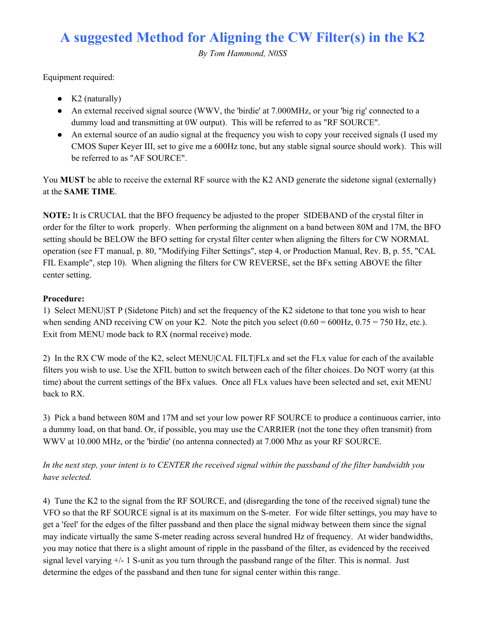## **A suggested Method for Aligning the CW Filter(s) in the K2**

*By Tom Hammond, N0SS*

Equipment required:

- $\bullet$  K2 (naturally)
- An external received signal source (WWV, the 'birdie' at 7.000MHz, or your 'big rig' connected to a dummy load and transmitting at 0W output). This will be referred to as "RF SOURCE".
- An external source of an audio signal at the frequency you wish to copy your received signals (I used my CMOS Super Keyer III, set to give me a 600Hz tone, but any stable signal source should work). This will be referred to as "AF SOURCE".

You **MUST** be able to receive the external RF source with the K2 AND generate the sidetone signal (externally) at the **SAME TIME**.

**NOTE:** It is CRUCIAL that the BFO frequency be adjusted to the proper SIDEBAND of the crystal filter in order for the filter to work properly. When performing the alignment on a band between 80M and 17M, the BFO setting should be BELOW the BFO setting for crystal filter center when aligning the filters for CW NORMAL operation (see FT manual, p. 80, "Modifying Filter Settings", step 4, or Production Manual, Rev. B, p. 55, "CAL FIL Example", step 10). When aligning the filters for CW REVERSE, set the BFx setting ABOVE the filter center setting.

## **Procedure:**

1) Select MENU|ST P (Sidetone Pitch) and set the frequency of the K2 sidetone to that tone you wish to hear when sending AND receiving CW on your K2. Note the pitch you select  $(0.60 = 600$ Hz,  $0.75 = 750$  Hz, etc.). Exit from MENU mode back to RX (normal receive) mode.

2) In the RX CW mode of the K2, select MENU|CAL FILT|FLx and set the FLx value for each of the available filters you wish to use. Use the XFIL button to switch between each of the filter choices. Do NOT worry (at this time) about the current settings of the BFx values. Once all FLx values have been selected and set, exit MENU back to RX.

3) Pick a band between 80M and 17M and set your low power RF SOURCE to produce a continuous carrier, into a dummy load, on that band. Or, if possible, you may use the CARRIER (not the tone they often transmit) from WWV at 10.000 MHz, or the 'birdie' (no antenna connected) at 7.000 Mhz as your RF SOURCE.

## In the next step, your intent is to CENTER the received signal within the passband of the filter bandwidth you *have selected.*

4) Tune the K2 to the signal from the RF SOURCE, and (disregarding the tone of the received signal) tune the VFO so that the RF SOURCE signal is at its maximum on the S-meter. For wide filter settings, you may have to get a 'feel' for the edges of the filter passband and then place the signal midway between them since the signal may indicate virtually the same S-meter reading across several hundred Hz of frequency. At wider bandwidths, you may notice that there is a slight amount of ripple in the passband of the filter, as evidenced by the received signal level varying +/- 1 S-unit as you turn through the passband range of the filter. This is normal. Just determine the edges of the passband and then tune for signal center within this range.